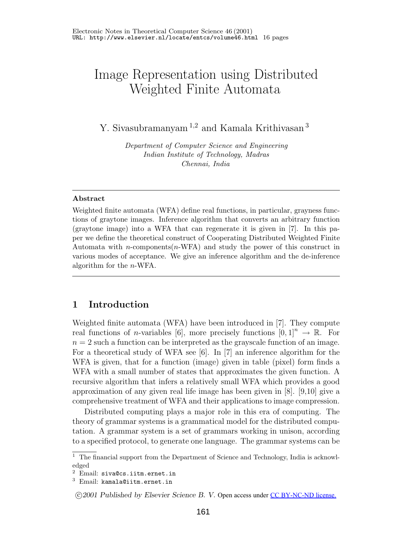# Image Representation using Distributed Weighted Finite Automata

Y. Sivasubramanyam <sup>1</sup>*,*<sup>2</sup> and Kamala Krithivasan <sup>3</sup>

*Department of Computer Science and Engineering Indian Institute of Technology, Madras Chennai, India*

#### **Abstract**

Weighted finite automata (WFA) define real functions, in particular, grayness functions of graytone images. Inference algorithm that converts an arbitrary function (graytone image) into a WFA that can regenerate it is given in [7]. In this paper we define the theoretical construct of Cooperating Distributed Weighted Finite Automata with *n*-components(*n*-WFA) and study the power of this construct in various modes of acceptance. We give an inference algorithm and the de-inference algorithm for the *n*-WFA.

# **1 Introduction**

Weighted finite automata (WFA) have been introduced in [7]. They compute real functions of *n*-variables [6], more precisely functions  $[0, 1]^n \rightarrow \mathbb{R}$ . For  $n = 2$  such a function can be interpreted as the grayscale function of an image. For a theoretical study of WFA see [6]. In [7] an inference algorithm for the WFA is given, that for a function (image) given in table (pixel) form finds a WFA with a small number of states that approximates the given function. A recursive algorithm that infers a relatively small WFA which provides a good approximation of any given real life image has been given in [8]. [9,10] give a comprehensive treatment of WFA and their applications to image compression.

Distributed computing plays a major role in this era of computing. The theory of grammar systems is a grammatical model for the distributed computation. A grammar system is a set of grammars working in unison, according to a specified protocol, to generate one language. The grammar systems can be

<sup>&</sup>lt;sup>1</sup> The financial support from the Department of Science and Technology, India is acknowledged

<sup>2</sup> Email: siva@cs.iitm.ernet.in

<sup>3</sup> Email: kamala@iitm.ernet.in

<sup>-</sup>c *2001 Published by Elsevier Science B. V.* Open access under [CC BY-NC-ND license.](http://creativecommons.org/licenses/by-nc-nd/3.0/)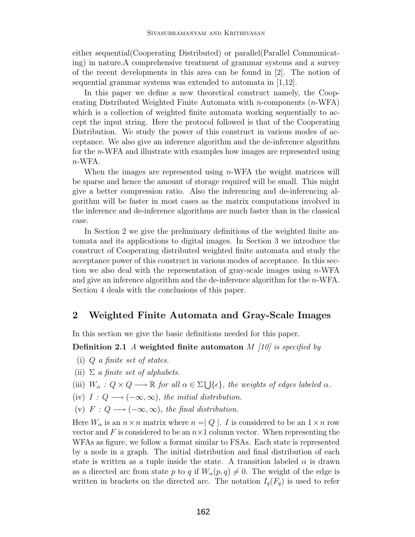either sequential(Cooperating Distributed) or parallel(Parallel Communicating) in nature.A comprehensive treatment of grammar systems and a survey of the recent developments in this area can be found in [2]. The notion of sequential grammar systems was extended to automata in [1,12].

In this paper we define a new theoretical construct namely, the Cooperating Distributed Weighted Finite Automata with  $n$ -components  $(n$ -WFA) which is a collection of weighted finite automata working sequentially to accept the input string. Here the protocol followed is that of the Cooperating Distribution. We study the power of this construct in various modes of acceptance. We also give an inference algorithm and the de-inference algorithm for the n-WFA and illustrate with examples how images are represented using  $n$ -WFA.

When the images are represented using  $n$ -WFA the weight matrices will be sparse and hence the amount of storage required will be small. This might give a better compression ratio. Also the inferencing and de-inferencing algorithm will be faster in most cases as the matrix computations involved in the inference and de-inference algorithms are much faster than in the classical case.

In Section 2 we give the preliminary definitions of the weighted finite automata and its applications to digital images. In Section 3 we introduce the construct of Cooperating distributed weighted finite automata and study the acceptance power of this construct in various modes of acceptance. In this section we also deal with the representation of gray-scale images using  $n$ -WFA and give an inference algorithm and the de-inference algorithm for the  $n$ -WFA. Section 4 deals with the conclusions of this paper.

# **2 Weighted Finite Automata and Gray-Scale Images**

In this section we give the basic definitions needed for this paper.

**Definition 2.1** *A* **weighted finite automaton** M *[10] is specified by*

- (i) Q *a finite set of states.*
- (ii) Σ *a finite set of alphabets.*
- (iii)  $W_{\alpha}: Q \times Q \longrightarrow \mathbb{R}$  *for all*  $\alpha \in \Sigma \bigcup {\epsilon}$ *, the weights of edges labeled*  $\alpha$ *.*
- (iv)  $I: Q \longrightarrow (-\infty, \infty)$ , the initial distribution.
- (v)  $F: Q \longrightarrow (-\infty, \infty)$ , the final distribution.

Here  $W_{\alpha}$  is an  $n \times n$  matrix where  $n = |Q|$ . I is considered to be an  $1 \times n$  row vector and F is considered to be an  $n \times 1$  column vector. When representing the WFAs as figure, we follow a format similar to FSAs. Each state is represented by a node in a graph. The initial distribution and final distribution of each state is written as a tuple inside the state. A transition labeled  $\alpha$  is drawn as a directed arc from state p to q if  $W_{\alpha}(p,q) \neq 0$ . The weight of the edge is written in brackets on the directed arc. The notation  $I_q(F_q)$  is used to refer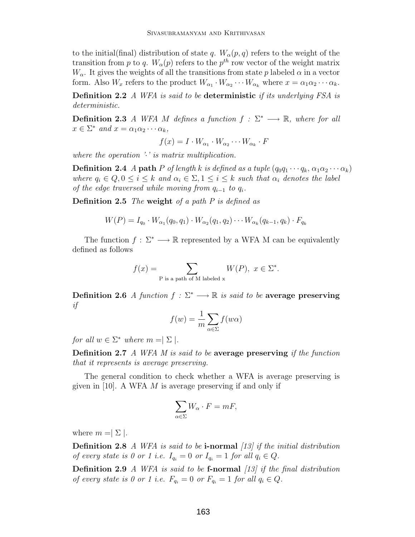to the initial(final) distribution of state q.  $W_{\alpha}(p,q)$  refers to the weight of the transition from p to q.  $W_{\alpha}(p)$  refers to the p<sup>th</sup> row vector of the weight matrix  $W_{\alpha}$ . It gives the weights of all the transitions from state p labeled  $\alpha$  in a vector form. Also  $W_x$  refers to the product  $W_{\alpha_1} \cdot W_{\alpha_2} \cdots W_{\alpha_k}$  where  $x = \alpha_1 \alpha_2 \cdots \alpha_k$ .

**Definition 2.2** *A WFA is said to be* **deterministic** *if its underlying FSA is deterministic.*

**Definition 2.3** *A WFA M defines a function*  $f : \Sigma^* \longrightarrow \mathbb{R}$ *, where for all*  $x \in \Sigma^*$  *and*  $x = \alpha_1 \alpha_2 \cdots \alpha_k$ ,

$$
f(x) = I \cdot W_{\alpha_1} \cdot W_{\alpha_2} \cdots W_{\alpha_k} \cdot F
$$

*where the operation '*·*' is matrix multiplication.*

**Definition 2.4** *A* **path** P *of length* k *is defined as a tuple*  $(q_0q_1 \cdots q_k, \alpha_1\alpha_2 \cdots \alpha_k)$ *where*  $q_i \in Q, 0 \leq i \leq k$  *and*  $\alpha_i \in \Sigma, 1 \leq i \leq k$  *such that*  $\alpha_i$  *denotes the label of the edge traversed while moving from*  $q_{i-1}$  *to*  $q_i$ *.* 

**Definition 2.5** *The* **weight** *of a path P is defined as*

$$
W(P) = I_{q_0} \cdot W_{\alpha_1}(q_0, q_1) \cdot W_{\alpha_2}(q_1, q_2) \cdots W_{\alpha_k}(q_{k-1}, q_k) \cdot F_{q_k}
$$

The function  $f: \Sigma^* \longrightarrow \mathbb{R}$  represented by a WFA M can be equivalently defined as follows

$$
f(x) = \sum_{P \text{ is a path of M labeled x}} W(P), \ x \in \Sigma^*.
$$

**Definition 2.6** *A function*  $f : \Sigma^* \longrightarrow \mathbb{R}$  *is said to be* **average preserving** *if*

$$
f(w) = \frac{1}{m} \sum_{\alpha \in \Sigma} f(w\alpha)
$$

*for all*  $w \in \Sigma^*$  *where*  $m = \Sigma$ .

**Definition 2.7** *A WFA M is said to be* **average preserving** *if the function that it represents is average preserving.*

The general condition to check whether a WFA is average preserving is given in [10]. A WFA  $M$  is average preserving if and only if

$$
\sum_{\alpha \in \Sigma} W_{\alpha} \cdot F = mF,
$$

where  $m = \lfloor \sum \rfloor$ .

**Definition 2.8** *A WFA is said to be* **i-normal** *[13] if the initial distribution of every state is 0 or 1 i.e.*  $I_{q_i} = 0$  *or*  $I_{q_i} = 1$  *for all*  $q_i \in Q$ *.* 

**Definition 2.9** *A WFA is said to be* **f-normal** *[13] if the final distribution of every state is 0 or 1 i.e.*  $F_{q_i} = 0$  *or*  $F_{q_i} = 1$  *for all*  $q_i \in Q$ *.*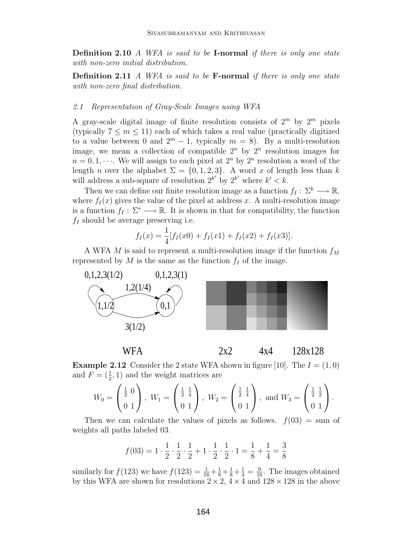**Definition 2.10** *A WFA is said to be* **I-normal** *if there is only one state with non-zero initial distribution.*

**Definition 2.11** *A WFA is said to be* **F-normal** *if there is only one state with non-zero final distribution.*

#### *2.1 Representation of Gray-Scale Images using WFA*

A gray-scale digital image of finite resolution consists of  $2^m$  by  $2^m$  pixels (typically  $7 \leq m \leq 11$ ) each of which takes a real value (practically digitized to a value between 0 and  $2^m - 1$ , typically  $m = 8$ ). By a multi-resolution image, we mean a collection of compatible  $2^n$  by  $2^n$  resolution images for  $n = 0, 1, \dots$ . We will assign to each pixel at  $2^n$  by  $2^n$  resolution a word of the length n over the alphabet  $\Sigma = \{0, 1, 2, 3\}$ . A word x of length less than k will address a sub-square of resolution  $2^{k'}$  by  $2^{k'}$  where  $k' < k$ .

Then we can define our finite resolution image as a function  $f_I : \Sigma^k \longrightarrow \mathbb{R}$ , where  $f_I(x)$  gives the value of the pixel at address x. A multi-resolution image is a function  $f_I : \Sigma^* \longrightarrow \mathbb{R}$ . It is shown in that for compatibility, the function  $f_I$  should be average preserving i.e.

$$
f_I(x) = \frac{1}{4} [f_I(x0) + f_I(x1) + f_I(x2) + f_I(x3)].
$$

A WFA M is said to represent a multi-resolution image if the function  $f_M$ represented by  $M$  is the same as the function  $f_I$  of the image.



WFA 2x2 4x4 128x128

**Example 2.12** Consider the 2 state WFA shown in figure [10]. The  $I = (1,0)$ and  $F = (\frac{1}{2}, 1)$  and the weight matrices are

$$
W_0 = \begin{pmatrix} \frac{1}{2} & 0 \\ 0 & 1 \end{pmatrix}, W_1 = \begin{pmatrix} \frac{1}{2} & \frac{1}{4} \\ 0 & 1 \end{pmatrix}, W_2 = \begin{pmatrix} \frac{1}{2} & \frac{1}{4} \\ 0 & 1 \end{pmatrix}, \text{ and } W_3 = \begin{pmatrix} \frac{1}{2} & \frac{1}{2} \\ 0 & 1 \end{pmatrix}.
$$

Then we can calculate the values of pixels as follows.  $f(03) = \text{sum of}$ weights all paths labeled 03.

$$
f(03) = 1 \cdot \frac{1}{2} \cdot \frac{1}{2} \cdot \frac{1}{2} + 1 \cdot \frac{1}{2} \cdot \frac{1}{2} \cdot 1 = \frac{1}{8} + \frac{1}{4} = \frac{3}{8}
$$

similarly for  $f(123)$  we have  $f(123) = \frac{1}{16} + \frac{1}{8} + \frac{1}{8} + \frac{1}{4} = \frac{9}{16}$ . The images obtained by this WFA are shown for resolutions  $2 \times 2$ ,  $4 \times 4$  and  $128 \times 128$  in the above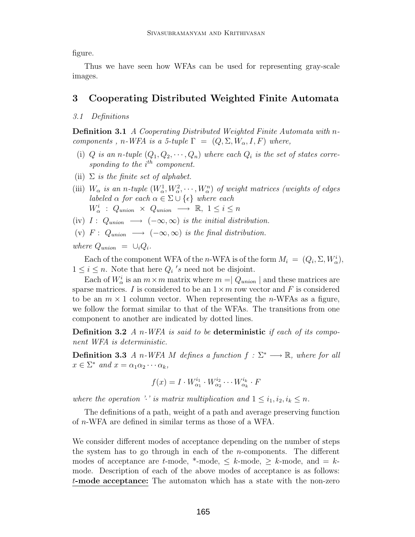figure.

Thus we have seen how WFAs can be used for representing gray-scale images.

# **3 Cooperating Distributed Weighted Finite Automata**

# *3.1 Definitions*

**Definition 3.1** *A Cooperating Distributed Weighted Finite Automata with* n*components*, *n*-*WFA is a 5-tuple*  $\Gamma = (Q, \Sigma, W_\alpha, I, F)$  *where,* 

- (i) Q is an n-tuple  $(Q_1, Q_2, \dots, Q_n)$  where each  $Q_i$  is the set of states corresponding to the i<sup>th</sup> component.
- (ii) Σ *is the finite set of alphabet.*
- (iii)  $W_{\alpha}$  *is an n-tuple*  $(W_{\alpha}^1, W_{\alpha}^2, \cdots, W_{\alpha}^n)$  *of weight matrices (weights of edges labeled*  $\alpha$  *for each*  $\alpha \in \Sigma \cup \{\epsilon\}$  *where each*  $W^i_{\alpha}$  :  $Q_{union} \times Q_{union} \longrightarrow \mathbb{R}, 1 \leq i \leq n$
- (iv)  $I: Q_{union} \longrightarrow (-\infty, \infty)$  *is the initial distribution.*
- (v)  $F: Q_{union} \longrightarrow (-\infty, \infty)$  *is the final distribution.*

*where*  $Q_{union} = \bigcup_i Q_i$ .

Each of the component WFA of the n-WFA is of the form  $M_i = (Q_i, \Sigma, W^i_{\alpha}),$  $1 \leq i \leq n$ . Note that here  $Q_i$ 's need not be disjoint.

Each of  $W^i_\alpha$  is an  $m \times m$  matrix where  $m = |Q_{union}|$  and these matrices are sparse matrices. I is considered to be an  $1 \times m$  row vector and F is considered to be an  $m \times 1$  column vector. When representing the *n*-WFAs as a figure, we follow the format similar to that of the WFAs. The transitions from one component to another are indicated by dotted lines.

**Definition 3.2** *A* n*-WFA is said to be* **deterministic** *if each of its component WFA is deterministic.*

**Definition 3.3** *A n*-*WFA M defines a function*  $f : \Sigma^* \longrightarrow \mathbb{R}$ *, where for all*  $x \in \Sigma^*$  *and*  $x = \alpha_1 \alpha_2 \cdots \alpha_k$ ,

$$
f(x) = I \cdot W_{\alpha_1}^{i_1} \cdot W_{\alpha_2}^{i_2} \cdots W_{\alpha_k}^{i_k} \cdot F
$$

*where the operation '·*' *is matrix multiplication and*  $1 \leq i_1, i_2, i_k \leq n$ .

The definitions of a path, weight of a path and average preserving function of n-WFA are defined in similar terms as those of a WFA.

We consider different modes of acceptance depending on the number of steps the system has to go through in each of the *n*-components. The different modes of acceptance are t-mode,  $*$ -mode,  $\leq k$ -mode,  $\geq k$ -mode, and  $= k$ mode. Description of each of the above modes of acceptance is as follows: t**-mode acceptance:** The automaton which has a state with the non-zero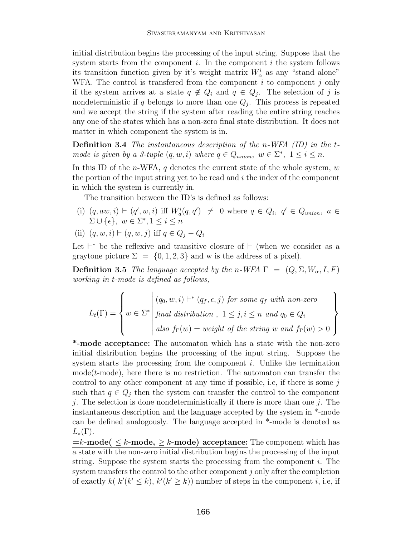initial distribution begins the processing of the input string. Suppose that the system starts from the component  $i$ . In the component  $i$  the system follows its transition function given by it's weight matrix  $W^i_\alpha$  as any "stand alone" WFA. The control is transferred from the component  $i$  to component  $j$  only if the system arrives at a state  $q \notin Q_i$  and  $q \in Q_j$ . The selection of j is nondeterministic if q belongs to more than one  $Q_i$ . This process is repeated and we accept the string if the system after reading the entire string reaches any one of the states which has a non-zero final state distribution. It does not matter in which component the system is in.

**Definition 3.4** *The instantaneous description of the* n*-WFA (ID) in the* t*mode is given by a 3-tuple*  $(q, w, i)$  *where*  $q \in Q$ <sub>union</sub>,  $w \in \Sigma^*$ ,  $1 \leq i \leq n$ .

In this ID of the *n*-WFA,  $q$  denotes the current state of the whole system,  $w$ the portion of the input string yet to be read and  $i$  the index of the component in which the system is currently in.

The transition between the ID's is defined as follows:

- (i)  $(q, aw, i) \vdash (q', w, i)$  iff  $W_a^i(q, q') \neq 0$  where  $q \in Q_i$ ,  $q' \in Q_{union}$ ,  $a \in$  $\Sigma \cup {\epsilon}, w \in \Sigma^*, 1 \leq i \leq n$
- (ii)  $(q, w, i) \vdash (q, w, j)$  iff  $q \in Q_i Q_i$

Let  $\vdash^*$  be the reflexive and transitive closure of  $\vdash$  (when we consider as a graytone picture  $\Sigma = \{0, 1, 2, 3\}$  and w is the address of a pixel).

**Definition 3.5** *The language accepted by the n-WFA*  $\Gamma = (Q, \Sigma, W_\alpha, I, F)$ *working in* t*-mode is defined as follows,*

$$
L_t(\Gamma) = \left\{ w \in \Sigma^* \middle| \begin{aligned} (q_0, w, i) &\vdash^* (q_f, \epsilon, j) \text{ for some } q_f \text{ with non-zero} \\ \text{final distribution, } 1 \leq j, i \leq n \text{ and } q_0 \in Q_i \\ \text{also } f_{\Gamma}(w) = \text{weight of the string } w \text{ and } f_{\Gamma}(w) > 0 \end{aligned} \right\}
$$

**\*-mode acceptance:** The automaton which has a state with the non-zero initial distribution begins the processing of the input string. Suppose the system starts the processing from the component i. Unlike the termination mode $(t\text{-mode})$ , here there is no restriction. The automaton can transfer the control to any other component at any time if possible, i.e, if there is some  $j$ such that  $q \in Q_i$  then the system can transfer the control to the component j. The selection is done nondeterministically if there is more than one j. The instantaneous description and the language accepted by the system in \*-mode can be defined analogously. The language accepted in \*-mode is denoted as  $L_*(\Gamma)$ .

 $=k$ **-mode(**  $\leq k$ **-mode,**  $\geq k$ **-mode) acceptance:** The component which has a state with the non-zero initial distribution begins the processing of the input string. Suppose the system starts the processing from the component  $i$ . The system transfers the control to the other component j only after the completion of exactly  $k(k'(k' \le k), k'(k' \ge k))$  number of steps in the component *i*, i.e, if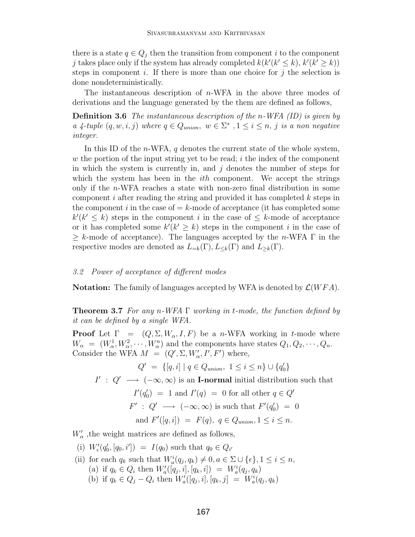there is a state  $q \in Q_j$  then the transition from component i to the component j takes place only if the system has already completed  $k(k'(k' \le k), k'(k' \ge k))$ steps in component i. If there is more than one choice for j the selection is done nondeterministically.

The instantaneous description of  $n$ -WFA in the above three modes of derivations and the language generated by the them are defined as follows,

**Definition 3.6** *The instantaneous description of the* n*-WFA (ID) is given by a* 4-tuple  $(q, w, i, j)$  where  $q \in Q_{union}$ ,  $w \in \Sigma^*$ ,  $1 \leq i \leq n$ , j is a non negative *integer.*

In this ID of the  $n$ -WFA,  $q$  denotes the current state of the whole system, w the portion of the input string yet to be read;  $i$  the index of the component in which the system is currently in, and  $j$  denotes the number of steps for which the system has been in the *ith* component. We accept the strings only if the n-WFA reaches a state with non-zero final distribution in some component i after reading the string and provided it has completed  $k$  steps in the component i in the case of  $=k$ -mode of acceptance (it has completed some  $k'(k' \leq k)$  steps in the component *i* in the case of  $\leq k$ -mode of acceptance or it has completed some  $k'(k' \geq k)$  steps in the component i in the case of  $\geq k$ -mode of acceptance). The languages accepted by the n-WFA  $\Gamma$  in the respective modes are denoted as  $L_{=k}(\Gamma), L_{\leq k}(\Gamma)$  and  $L_{\geq k}(\Gamma)$ .

#### *3.2 Power of acceptance of different modes*

**Notation:** The family of languages accepted by WFA is denoted by  $\mathcal{L}(WFA)$ .

**Theorem 3.7** *For any* n*-WFA* Γ *working in* t*-mode, the function defined by it can be defined by a single WFA.*

**Proof** Let  $\Gamma = (Q, \Sigma, W_\alpha, I, F)$  be a *n*-WFA working in *t*-mode where  $W_{\alpha} = (W_{\alpha}^1, W_{\alpha}^2, \cdots, W_{\alpha}^n)$  and the components have states  $Q_1, Q_2, \cdots, Q_n$ . Consider the WFA  $M = (Q', \Sigma, W'_\alpha, I', F')$  where,

$$
Q' = \{ [q, i] \mid q \in Q_{union}, 1 \le i \le n \} \cup \{ q'_0 \}
$$

 $I'$  :  $Q' \longrightarrow (-\infty, \infty)$  is an **I-normal** initial distribution such that

$$
I'(q'_0) = 1 \text{ and } I'(q) = 0 \text{ for all other } q \in Q'
$$
  

$$
F' : Q' \longrightarrow (-\infty, \infty) \text{ is such that } F'(q'_0) = 0
$$
  
and 
$$
F'([q, i]) = F(q), q \in Q_{union}, 1 \le i \le n.
$$

 $W'_{\alpha}$ , the weight matrices are defined as follows,

(i)  $W'_{\epsilon}(q'_0, [q_0, i']) = I(q_0)$  such that  $q_0 \in Q_{i'}$ 

- (ii) for each  $q_k$  such that  $W_a^i(q_j, q_k) \neq 0, a \in \Sigma \cup \{\epsilon\}, 1 \leq i \leq n$ , (a) if  $q_k \in Q_i$  then  $W'_a([q_j, i], [q_k, i]) = W^i_a(q_j, q_k)$ 
	- (b) if  $q_k \in Q_j Q_i$  then  $W'_a([q_j, i], [q_k, j]) = W^i_a(q_j, q_k)$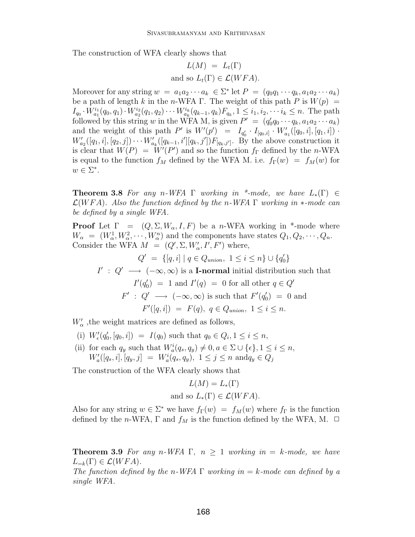The construction of WFA clearly shows that

$$
L(M) = L_t(\Gamma)
$$
  
and so  $L_t(\Gamma) \in \mathcal{L}(WFA)$ .

Moreover for any string  $w = a_1 a_2 \cdots a_k \in \Sigma^*$  let  $P = (q_0 q_1 \cdots q_k, a_1 a_2 \cdots a_k)$ be a path of length k in the n-WFA Γ. The weight of this path P is  $W(p)$  =  $I_{q_0} \cdot W_{a_1}^{i_1}(q_0, q_1) \cdot W_{a_2}^{i_2}(q_1, q_2) \cdots W_{a_k}^{i_k}(q_{k-1}, q_k) F_{q_k}, 1 \leq i_1, i_2, \cdots i_k \leq n.$  The path followed by this string w in the WFA M, is given  $P' = (q'_0 q_0 \cdots q_k, a_1 a_2 \cdots a_k)$ and the weight of this path  $P'$  is  $W'(p') = I_{q'_0} \cdot I_{[q_0,i]} \cdot W'_{a_1}([q_0,i],[q_1,i])$ .  $W'_{a_2}([q_1, i], [q_2, j]) \cdots W'_{a_k}([q_{k-1}, i'][q_k, j']) F_{[q_k, j']}.$  By the above construction it is clear that  $W(P) = W'(P')$  and so the function  $f_{\Gamma}$  defined by the n-WFA is equal to the function  $f_M$  defined by the WFA M. i.e.  $f_\Gamma(w) = f_M(w)$  for  $w \in \Sigma^*$ .

**Theorem 3.8** For any n-WFA  $\Gamma$  working in \*-mode, we have  $L_*(\Gamma) \in$ L(WFA)*. Also the function defined by the* n*-WFA* Γ *working in* ∗*-mode can be defined by a single WFA.*

**Proof** Let  $\Gamma = (Q, \Sigma, W_\alpha, I, F)$  be a *n*-WFA working in \*-mode where  $W_{\alpha} = (W_{\alpha}^1, W_{\alpha}^2, \cdots, W_{\alpha}^n)$  and the components have states  $Q_1, Q_2, \cdots, Q_n$ . Consider the WFA  $M = (Q', \Sigma, W'_\alpha, I', F')$  where,

$$
Q' = \{ [q, i] \mid q \in Q_{union}, 1 \le i \le n \} \cup \{q'_0\}
$$

 $I'$ :  $Q' \longrightarrow (-\infty, \infty)$  is a **I-normal** initial distribution such that  $I'(q'_0) = 1$  and  $I'(q) = 0$  for all other  $q \in Q'$  $F'$ :  $Q' \longrightarrow (-\infty, \infty)$  is such that  $F'(q'_0) = 0$  and  $F'([q, i]) = F(q), q \in Q_{union}, 1 \leq i \leq n.$ 

 $W'_{\alpha}$ , the weight matrices are defined as follows,

- (i)  $W'_{\epsilon}(q'_0, [q_0, i]) = I(q_0)$  such that  $q_0 \in Q_i, 1 \leq i \leq n$ ,
- (ii) for each  $q_y$  such that  $W_a^i(q_s, q_y) \neq 0, a \in \Sigma \cup \{\epsilon\}, 1 \leq i \leq n$ ,  $W'_a([q_s, i], [q_y, j] = W^i_a(q_s, q_y), \ 1 \le j \le n \text{ and } q_y \in Q_j$

The construction of the WFA clearly shows that

$$
L(M) = L_*(\Gamma)
$$
  
and so  $L_*(\Gamma) \in \mathcal{L}(WFA)$ .

Also for any string  $w \in \Sigma^*$  we have  $f_{\Gamma}(w) = f_M(w)$  where  $f_{\Gamma}$  is the function defined by the n-WFA,  $\Gamma$  and  $f_M$  is the function defined by the WFA, M.  $\Box$ 

**Theorem 3.9** For any n-WFA  $\Gamma$ ,  $n \geq 1$  working in  $=$  k-mode, we have  $L_{=k}(\Gamma) \in \mathcal{L}(WFA)$ .

*The function defined by the* n*-WFA* Γ *working in* = k*-mode can defined by a single WFA.*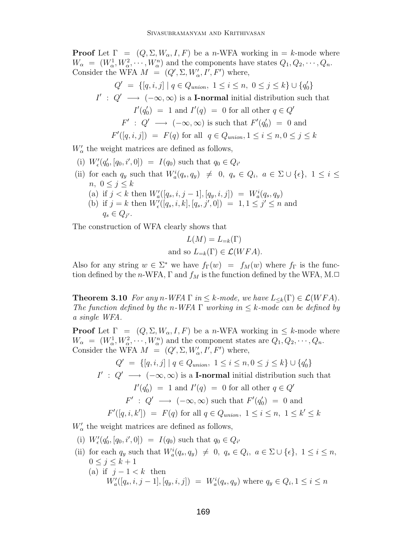**Proof** Let  $\Gamma = (Q, \Sigma, W_{\alpha}, I, F)$  be a *n*-WFA working in = k-mode where  $W_{\alpha} = (W_{\alpha}^1, W_{\alpha}^2, \cdots, W_{\alpha}^n)$  and the components have states  $Q_1, Q_2, \cdots, Q_n$ . Consider the WFA  $M = (Q', \Sigma, W'_\alpha, I', F')$  where,

$$
Q' = \{ [q, i, j] \mid q \in Q_{union}, 1 \le i \le n, 0 \le j \le k \} \cup \{ q'_0 \}
$$
  
\n
$$
I' : Q' \longrightarrow (-\infty, \infty) \text{ is a I-normal initial distribution such that\n
$$
I'(q'_0) = 1 \text{ and } I'(q) = 0 \text{ for all other } q \in Q'
$$
  
\n
$$
F' : Q' \longrightarrow (-\infty, \infty) \text{ is such that } F'(q'_0) = 0 \text{ and}
$$
  
\n
$$
F'([q, i, j]) = F(q) \text{ for all } q \in Q_{union}, 1 \le i \le n, 0 \le j \le k
$$
$$

 $W'_{\alpha}$  the weight matrices are defined as follows,

- (i)  $W'_{\epsilon}(q'_0, [q_0, i', 0]) = I(q_0)$  such that  $q_0 \in Q_{i'}$
- (ii) for each  $q_y$  such that  $W_a^i(q_s, q_y) \neq 0, q_s \in Q_i, a \in \Sigma \cup \{\epsilon\}, 1 \leq i \leq$  $n, 0 \leq j \leq k$ (a) if  $j < k$  then  $W'_a([q_s, i, j-1], [q_y, i, j]) = W'_a(q_s, q_y)$ 
	- (b) if  $j = k$  then  $W'_{\epsilon}([q_s, i, k], [q_s, j', 0]) = 1, 1 \le j' \le n$  and  $q_s \in Q_{j'}$ .

The construction of WFA clearly shows that

$$
L(M) = L_{=k}(\Gamma)
$$
  
and so  $L_{=k}(\Gamma) \in \mathcal{L}(WFA)$ .

Also for any string  $w \in \Sigma^*$  we have  $f_{\Gamma}(w) = f_M(w)$  where  $f_{\Gamma}$  is the function defined by the n-WFA,  $\Gamma$  and  $f_M$  is the function defined by the WFA, M. $\Box$ 

**Theorem 3.10** *For any n*-*WFA*  $\Gamma$  *in*  $\leq$  *k*-mode, we have  $L_{\leq k}(\Gamma) \in \mathcal{L}(WFA)$ . *The function defined by the n*-WFA  $\Gamma$  *working in*  $\leq$  *k*-mode can be defined by *a single WFA.*

**Proof** Let  $\Gamma = (Q, \Sigma, W_\alpha, I, F)$  be a n-WFA working in  $\leq k$ -mode where  $W_{\alpha} = (W_{\alpha}^1, W_{\alpha}^2, \cdots, W_{\alpha}^n)$  and the component states are  $Q_1, Q_2, \cdots, Q_n$ . Consider the WFA  $M = (Q', \Sigma, W'_\alpha, I', F')$  where,

 $Q' = \{ [q, i, j] \mid q \in Q_{union}, 1 \le i \le n, 0 \le j \le k \} \cup \{q'_0\}$  $I'$ :  $Q' \longrightarrow (-\infty, \infty)$  is a **I-normal** initial distribution such that  $I'(q'_0) = 1$  and  $I'(q) = 0$  for all other  $q \in Q'$  $F' : Q' \longrightarrow (-\infty, \infty)$  such that  $F'(q'_0) = 0$  and  $F'([q, i, k']) = F(q)$  for all  $q \in Q_{union}, 1 \le i \le n, 1 \le k' \le k$ 

 $W'_{\alpha}$  the weight matrices are defined as follows,

(i)  $W'_{\epsilon}(q'_0, [q_0, i', 0]) = I(q_0)$  such that  $q_0 \in Q_{i'}$ 

- (ii) for each  $q_y$  such that  $W_a^i(q_s, q_y) \neq 0, q_s \in Q_i, a \in \Sigma \cup \{\epsilon\}, 1 \leq i \leq n$ ,  $0 \leq j \leq k+1$ 
	- (a) if  $j 1 < k$  then  $W'_a([q_s, i, j-1], [q_y, i, j]) = W^i_a(q_s, q_y)$  where  $q_y \in Q_i, 1 \le i \le n$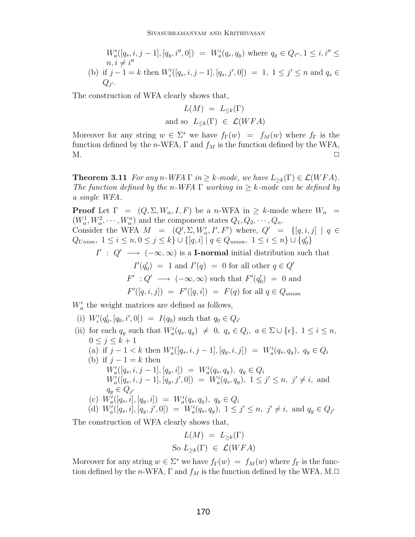$$
W_a'([q_s, i, j-1], [q_y, i'', 0]) = W_a^i(q_s, q_y) \text{ where } q_y \in Q_{i''}, 1 \le i, i'' \le n, i \ne i''
$$
  
(b) if  $j - 1 = k$  then  $W'_\epsilon([q_s, i, j-1], [q_s, j', 0]) = 1, 1 \le j' \le n \text{ and } q_s \in Q_{j'}$ .

The construction of WFA clearly shows that,

$$
L(M) = L_{\leq k}(\Gamma)
$$
  
and so  $L_{\leq k}(\Gamma) \in \mathcal{L}(WFA)$ 

Moreover for any string  $w \in \Sigma^*$  we have  $f_{\Gamma}(w) = f_M(w)$  where  $f_{\Gamma}$  is the function defined by the n-WFA,  $\Gamma$  and  $f_M$  is the function defined by the WFA,  $M.$ 

**Theorem 3.11** *For any n*-*WFA*  $\Gamma$  *in*  $\geq$  *k*-mode, we have  $L_{\geq k}(\Gamma) \in \mathcal{L}(WFA)$ . *The function defined by the n-WFA*  $\Gamma$  *working in*  $\geq$  *k-mode can be defined by a single WFA.*

**Proof** Let  $\Gamma = (Q, \Sigma, W_\alpha, I, F)$  be a n-WFA in  $\geq k$ -mode where  $W_\alpha$  $(W_\alpha^1, W_\alpha^2, \cdots, W_\alpha^n)$  and the component states  $Q_1, Q_2, \cdots, Q_n$ . Consider the WFA  $M = (Q', \Sigma, W'_\alpha, I', F')$  where,  $Q' = \{[q, i, j] \mid q \in$  $Q_{Union}, 1 \leq i \leq n, 0 \leq j \leq k$   $\} \cup \{[q, i] \mid q \in Q_{union}, 1 \leq i \leq n\} \cup \{q'_{0}\}\$ 

 $I' : Q' \longrightarrow (-\infty, \infty)$  is a **I-normal** initial distribution such that

$$
I'(q'_0) = 1 \text{ and } I'(q) = 0 \text{ for all other } q \in Q'
$$
  

$$
F' : Q' \longrightarrow (-\infty, \infty) \text{ such that } F'(q'_0) = 0 \text{ and }
$$
  

$$
F'([q, i, j]) = F'([q, i]) = F(q) \text{ for all } q \in Q_{union}
$$

 $W'_{\alpha}$  the weight matrices are defined as follows,

(i) 
$$
W'_{\epsilon}(q'_0, [q_0, i', 0]) = I(q_0)
$$
 such that  $q_0 \in Q_{i'}$ 

(ii) for each  $q_y$  such that  $W_a^i(q_s, q_y) \neq 0, q_s \in Q_i, a \in \Sigma \cup \{\epsilon\}, 1 \leq i \leq n$ ,  $0\leq j\leq k+1$ (a) if  $j - 1 < k$  then  $W'_a([q_s, i, j - 1], [q_y, i, j]) = W^i_a(q_s, q_y), q_y \in Q_i$ (b) if  $j - 1 = k$  then  $W'_{a}([q_s, i, j-1], [q_y, i]) = W^{i}_{a}(q_s, q_y), q_y \in Q_i$  $W'_a([q_s, i, j-1], [q_y, j', 0]) = W^i_a(q_s, q_y), \ 1 \leq j' \leq n, \ j' \neq i, \text{ and }$  $q_y \in Q_{i'}$ (c)  $W'_a([q_s, i], [q_y, i]) = W^i_a(q_s, q_y), q_y \in Q_i$ (d)  $W'_a([q_s, i], [q_y, j', 0]) = W'_a(q_s, q_y), \ 1 \le j' \le n, \ j' \ne i, \text{ and } q_y \in Q_{j'}$ 

The construction of WFA clearly shows that,

$$
L(M) = L_{\geq k}(\Gamma)
$$
  
So  $L_{\geq k}(\Gamma) \in \mathcal{L}(WFA)$ 

Moreover for any string  $w \in \Sigma^*$  we have  $f_{\Gamma}(w) = f_M(w)$  where  $f_{\Gamma}$  is the function defined by the n-WFA,  $\Gamma$  and  $f_M$  is the function defined by the WFA, M. $\Box$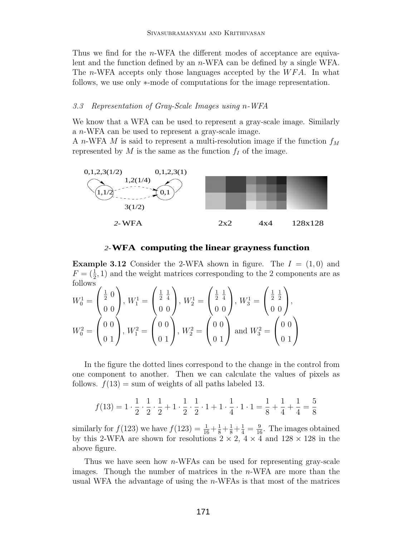Thus we find for the *n*-WFA the different modes of acceptance are equivalent and the function defined by an n-WFA can be defined by a single WFA. The n-WFA accepts only those languages accepted by the  $WFA$ . In what follows, we use only ∗-mode of computations for the image representation.

#### *3.3 Representation of Gray-Scale Images using* n*-WFA*

We know that a WFA can be used to represent a gray-scale image. Similarly a n-WFA can be used to represent a gray-scale image.

A n-WFA M is said to represent a multi-resolution image if the function  $f_M$ represented by  $M$  is the same as the function  $f_I$  of the image.



#### *2-***WFA computing the linear grayness function**

**Example 3.12** Consider the 2-WFA shown in figure. The  $I = (1,0)$  and  $F = (\frac{1}{2}, 1)$  and the weight matrices corresponding to the 2 components are as follows

$$
W_0^1 = \begin{pmatrix} \frac{1}{2} & 0 \\ 0 & 0 \end{pmatrix}, W_1^1 = \begin{pmatrix} \frac{1}{2} & \frac{1}{4} \\ 0 & 0 \end{pmatrix}, W_2^1 = \begin{pmatrix} \frac{1}{2} & \frac{1}{4} \\ 0 & 0 \end{pmatrix}, W_3^1 = \begin{pmatrix} \frac{1}{2} & \frac{1}{2} \\ 0 & 0 \end{pmatrix},
$$
  

$$
W_0^2 = \begin{pmatrix} 0 & 0 \\ 0 & 1 \end{pmatrix}, W_1^2 = \begin{pmatrix} 0 & 0 \\ 0 & 1 \end{pmatrix}, W_2^2 = \begin{pmatrix} 0 & 0 \\ 0 & 1 \end{pmatrix} \text{ and } W_3^2 = \begin{pmatrix} 0 & 0 \\ 0 & 1 \end{pmatrix}
$$

In the figure the dotted lines correspond to the change in the control from one component to another. Then we can calculate the values of pixels as follows.  $f(13) = \text{sum of weights of all paths labeled } 13$ .

$$
f(13) = 1 \cdot \frac{1}{2} \cdot \frac{1}{2} \cdot \frac{1}{2} + 1 \cdot \frac{1}{2} \cdot \frac{1}{2} \cdot 1 + 1 \cdot \frac{1}{4} \cdot 1 \cdot 1 = \frac{1}{8} + \frac{1}{4} + \frac{1}{4} = \frac{5}{8}
$$

similarly for  $f(123)$  we have  $f(123) = \frac{1}{16} + \frac{1}{8} + \frac{1}{8} + \frac{1}{4} = \frac{9}{16}$ . The images obtained by this 2-WFA are shown for resolutions  $2 \times 2$ ,  $4 \times 4$  and  $128 \times 128$  in the above figure.

Thus we have seen how  $n$ -WFAs can be used for representing gray-scale images. Though the number of matrices in the  $n$ -WFA are more than the usual WFA the advantage of using the n-WFAs is that most of the matrices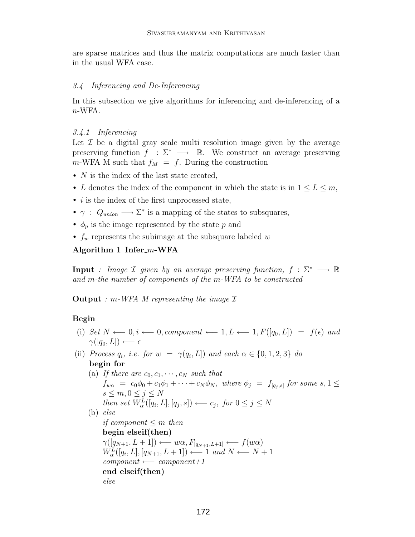are sparse matrices and thus the matrix computations are much faster than in the usual WFA case.

#### *3.4 Inferencing and De-Inferencing*

In this subsection we give algorithms for inferencing and de-inferencing of a  $n$ -WFA.

#### *3.4.1 Inferencing*

Let  $\mathcal I$  be a digital gray scale multi resolution image given by the average preserving function  $f : \Sigma^* \longrightarrow \mathbb{R}$ . We construct an average preserving  $m$ -WFA M such that  $f_M = f$ . During the construction

- $N$  is the index of the last state created,
- L denotes the index of the component in which the state is in  $1 \leq L \leq m$ ,
- *i* is the index of the first unprocessed state,
- $\gamma$ :  $Q_{union} \longrightarrow \Sigma^*$  is a mapping of the states to subsquares,
- $\phi_p$  is the image represented by the state p and
- $f_w$  represents the subimage at the subsquare labeled w

# Algorithm 1 Infer<sub>*m*</sub>-WFA</sub>

**Input** *: Image*  $\mathcal I$  *given by an average preserving function,*  $f : \Sigma^* \longrightarrow \mathbb{R}$ *and* m*-the number of components of the* m*-WFA to be constructed*

**Output** *:* m*-WFA M representing the image* I

#### **Begin**

- (i) *Set*  $N \leftarrow 0, i \leftarrow 0$ , *component* ← 1,  $L \leftarrow 1, F([q_0, L]) = f(\epsilon)$  *and*  $\gamma([q_0,L]) \longleftarrow \epsilon$
- (ii) *Process*  $q_i$ *, i.e. for*  $w = \gamma(q_i, L]$  *and each*  $\alpha \in \{0, 1, 2, 3\}$  *do* **begin for**
	- (a) If there are  $c_0, c_1, \cdots, c_N$  such that  $f_{w\alpha} = c_0\phi_0 + c_1\phi_1 + \cdots + c_N\phi_N$ , *where*  $\phi_j = f_{[q_j,s]}$  *for some*  $s, 1 \leq$  $s \leq m, 0 \leq j \leq N$ *then set*  $W^L_{\alpha}([q_i, L], [q_j, s]) \longleftarrow c_j$ , *for*  $0 \leq j \leq N$ (b) *else if component* ≤ m *then* **begin elseif(then)**  $\gamma([q_{N+1}, L+1]) \longleftarrow w\alpha, F_{[q_{N+1}, L+1]} \longleftarrow f(w\alpha)$  $W^L_{\alpha}([q_i, L], [q_{N+1}, L+1]) \longleftarrow 1$  and  $N \longleftarrow N+1$  $component \longleftarrow component+1$ **end elseif(then)** *else*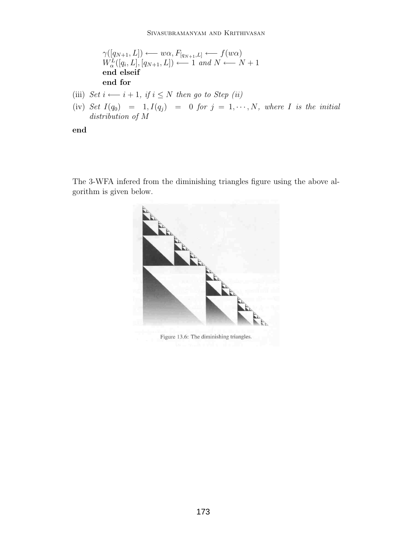$$
\gamma([q_{N+1}, L]) \longleftarrow w\alpha, F_{[q_{N+1}, L]} \longleftarrow f(w\alpha)
$$
\n
$$
W^L_{\alpha}([q_i, L], [q_{N+1}, L]) \longleftarrow 1 \text{ and } N \longleftarrow N + 1
$$
\nend elseif

\nend for

- (iii)  $Set\ i \longleftarrow i + 1, \ if\ i \leq N \ then\ go\ to\ Step\ (ii)$
- (iv)  $Set~I(q_0) = 1, I(q_j) = 0$  *for*  $j = 1, \dots, N$ *, where I is the initial distribution of* M

**end**

The 3-WFA infered from the diminishing triangles figure using the above algorithm is given below.



Figure 13.6: The diminishing triangles.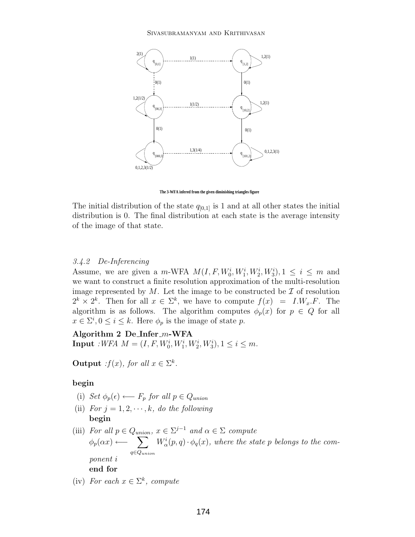

**The 3-WFA infered from the given diminishing triangles figure**

The initial distribution of the state  $q_{[0,1]}$  is 1 and at all other states the initial distribution is 0. The final distribution at each state is the average intensity of the image of that state.

### *3.4.2 De-Inferencing*

Assume, we are given a m-WFA  $M(I, F, W_0^i, W_1^i, W_2^i, W_3^i), 1 \leq i \leq m$  and we want to construct a finite resolution approximation of the multi-resolution image represented by  $M$ . Let the image to be constructed be  $\mathcal I$  of resolution  $2^k \times 2^k$ . Then for all  $x \in \Sigma^k$ , we have to compute  $f(x) = I.W_x.F$ . The algorithm is as follows. The algorithm computes  $\phi_p(x)$  for  $p \in Q$  for all  $x \in \Sigma^i, 0 \leq i \leq k$ . Here  $\phi_p$  is the image of state p.

**Algorithm 2 De Infer** m**-WFA Input** *:WFA*  $M = (I, F, W_0^i, W_1^i, W_2^i, W_3^i), 1 \le i \le m$ *.* 

**Output** *:*f(x), for all  $x \in \Sigma^k$ .

#### **begin**

- (i) *Set*  $\phi_p(\epsilon)$  ←  $F_p$  *for all*  $p \in Q_{union}$
- (ii) *For*  $j = 1, 2, \dots, k$ *, do the following* **begin**
- (iii) *For all*  $p \in Q_{union}$ ,  $x \in \Sigma^{j-1}$  *and*  $\alpha \in \Sigma$  *compute*  $\phi_p(\alpha x) \longleftarrow \sum$ q∈Q*union*  $W^i_\alpha(p,q) \cdot \phi_q(x)$ , where the state p belongs to the com*ponent* i **end for**
- (iv) *For each*  $x \in \Sigma^k$ *, compute*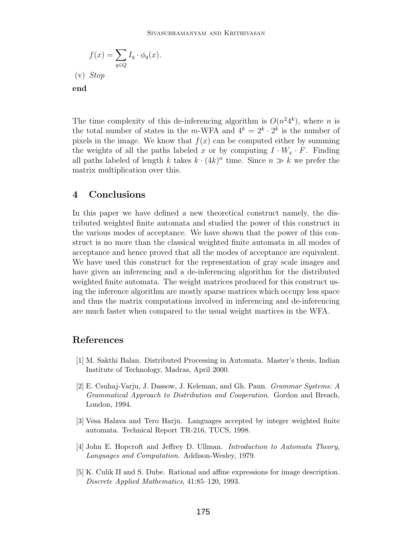$$
f(x) = \sum_{q \in Q} I_q \cdot \phi_q(x).
$$
  
(v) *Stop*  
end

The time complexity of this de-inferencing algorithm is  $O(n^24^k)$ , where n is the total number of states in the m-WFA and  $4^k = 2^k \cdot 2^k$  is the number of pixels in the image. We know that  $f(x)$  can be computed either by summing the weights of all the paths labeled x or by computing  $I \cdot W_x \cdot F$ . Finding all paths labeled of length k takes  $k \cdot (4k)^n$  time. Since  $n \gg k$  we prefer the matrix multiplication over this.

# **4 Conclusions**

In this paper we have defined a new theoretical construct namely, the distributed weighted finite automata and studied the power of this construct in the various modes of acceptance. We have shown that the power of this construct is no more than the classical weighted finite automata in all modes of acceptance and hence proved that all the modes of acceptance are equivalent. We have used this construct for the representation of gray scale images and have given an inferencing and a de-inferencing algorithm for the distributed weighted finite automata. The weight matrices produced for this construct using the inference algorithm are mostly sparse matrices which occupy less space and thus the matrix computations involved in inferencing and de-inferencing are much faster when compared to the usual weight martices in the WFA.

# **References**

- [1] M. Sakthi Balan. Distributed Processing in Automata. Master's thesis, Indian Institute of Technology, Madras, April 2000.
- [2] E. Csuhaj-Varju, J. Dassow, J. Keleman, and Gh. Paun. *Grammar Systems: A Grammatical Approach to Distribution and Cooperation*. Gordon and Breach, London, 1994.
- [3] Vesa Halava and Tero Harju. Languages accepted by integer weighted finite automata. Technical Report TR-216, TUCS, 1998.
- [4] John E. Hopcroft and Jeffrey D. Ullman. *Introduction to Automata Theory, Languages and Computation.* Addison-Wesley, 1979.
- [5] K. Culik II and S. Dube. Rational and affine expressions for image description. *Discrete Applied Mathematics*, 41:85–120, 1993.